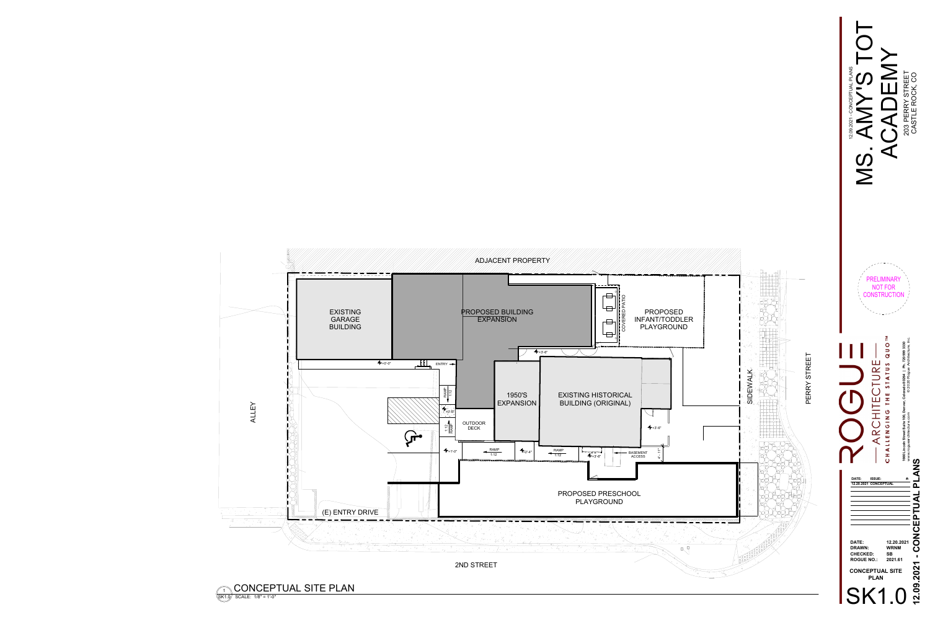